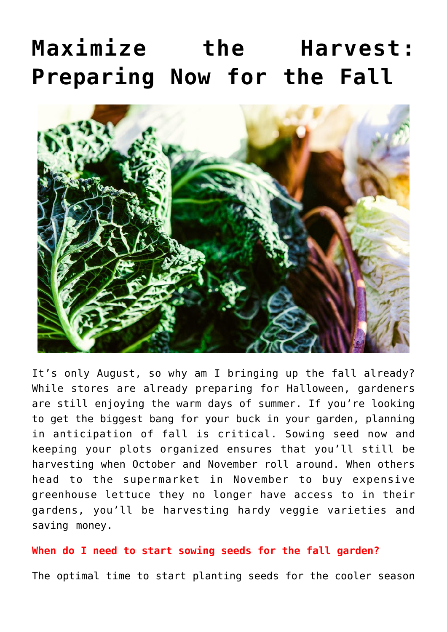# **[Maximize the Harvest:](https://www.frugalgardening.com/maximize-the-harvest-preparing-now-for-the-fall.html) [Preparing Now for the Fall](https://www.frugalgardening.com/maximize-the-harvest-preparing-now-for-the-fall.html)**



It's only August, so why am I bringing up the fall already? While stores are already preparing for Halloween, gardeners are still enjoying the warm days of summer. If you're looking to get the biggest bang for your buck in your garden, planning in anticipation of fall is critical. Sowing seed now and keeping your plots organized ensures that you'll still be harvesting when October and November roll around. When others head to the supermarket in November to buy expensive greenhouse lettuce they no longer have access to in their gardens, you'll be harvesting hardy veggie varieties and saving money.

## **When do I need to start sowing seeds for the fall garden?**

The optimal time to start planting seeds for the cooler season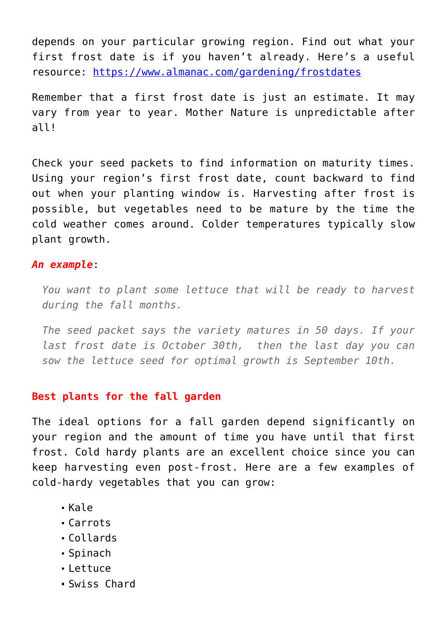depends on your particular growing region. Find out what your first frost date is if you haven't already. Here's a useful resource: <https://www.almanac.com/gardening/frostdates>

Remember that a first frost date is just an estimate. It may vary from year to year. Mother Nature is unpredictable after all!

Check your seed packets to find information on maturity times. Using your region's first frost date, count backward to find out when your planting window is. Harvesting after frost is possible, but vegetables need to be mature by the time the cold weather comes around. Colder temperatures typically slow plant growth.

#### *An example*:

*You want to plant some lettuce that will be ready to harvest during the fall months.*

*The seed packet says the variety matures in 50 days. If your last frost date is October 30th, then the last day you can sow the lettuce seed for optimal growth is September 10th.*

#### **Best plants for the fall garden**

The ideal options for a fall garden depend significantly on your region and the amount of time you have until that first frost. Cold hardy plants are an excellent choice since you can keep harvesting even post-frost. Here are a few examples of cold-hardy vegetables that you can grow:

- Kale
- Carrots
- Collards
- Spinach
- Lettuce
- Swiss Chard